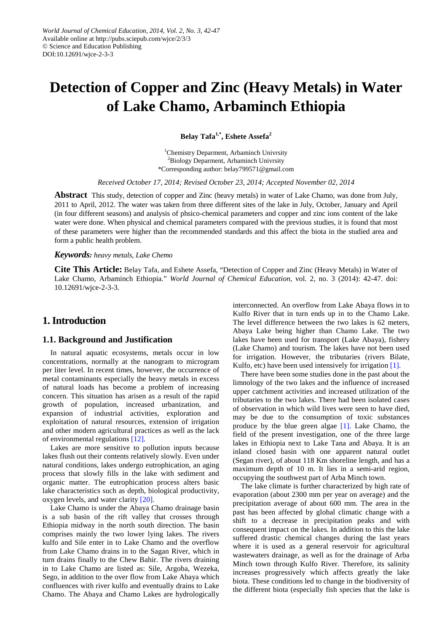# **Detection of Copper and Zinc (Heavy Metals) in Water of Lake Chamo, Arbaminch Ethiopia**

**Belay Tafa1,\*, Eshete Assefa<sup>2</sup>**

1 Chemistry Deparment, Arbaminch Univrsity <sup>2</sup>Biology Deparment, Arbaminch Univrsity \*Corresponding author: belay799571@gmail.com

*Received October 17, 2014; Revised October 23, 2014; Accepted November 02, 2014*

**Abstract** This study, detection of copper and Zinc (heavy metals) in water of Lake Chamo, was done from July, 2011 to April, 2012. The water was taken from three different sites of the lake in July, October, January and April (in four different seasons) and analysis of phsico-chemical parameters and copper and zinc ions content of the lake water were done. When physical and chemical parameters compared with the previous studies, it is found that most of these parameters were higher than the recommended standards and this affect the biota in the studied area and form a public health problem.

*Keywords: heavy metals, Lake Chemo*

**Cite This Article:** Belay Tafa, and Eshete Assefa, "Detection of Copper and Zinc (Heavy Metals) in Water of Lake Chamo, Arbaminch Ethiopia." *World Journal of Chemical Education*, vol. 2, no. 3 (2014): 42-47. doi: 10.12691/wjce-2-3-3.

# **1. Introduction**

## **1.1. Background and Justification**

In natural aquatic ecosystems, metals occur in low concentrations, normally at the nanogram to microgram per liter level. In recent times, however, the occurrence of metal contaminants especially the heavy metals in excess of natural loads has become a problem of increasing concern. This situation has arisen as a result of the rapid growth of population, increased urbanization, and expansion of industrial activities, exploration and exploitation of natural resources, extension of irrigation and other modern agricultural practices as well as the lack of environmental regulation[s \[12\].](#page-4-0)

Lakes are more sensitive to pollution inputs because lakes flush out their contents relatively slowly. Even under natural conditions, lakes undergo eutrophication, an aging process that slowly fills in the lake with sediment and organic matter. The eutrophication process alters basic lake characteristics such as depth, biological productivity, oxygen levels, and water clarit[y \[20\].](#page-5-0)

Lake Chamo is under the Abaya Chamo drainage basin is a sub basin of the rift valley that crosses through Ethiopia midway in the north south direction. The basin comprises mainly the two lower lying lakes. The rivers kulfo and Sile enter in to Lake Chamo and the overflow from Lake Chamo drains in to the Sagan River, which in turn drains finally to the Chew Bahir. The rivers draining in to Lake Chamo are listed as: Sile, Argoba, Wezeka, Sego, in addition to the over flow from Lake Abaya which confluences with river kulfo and eventually drains to Lake Chamo. The Abaya and Chamo Lakes are hydrologically interconnected. An overflow from Lake Abaya flows in to Kulfo River that in turn ends up in to the Chamo Lake. The level difference between the two lakes is 62 meters, Abaya Lake being higher than Chamo Lake. The two lakes have been used for transport (Lake Abaya), fishery (Lake Chamo) and tourism. The lakes have not been used for irrigation. However, the tributaries (rivers Bilate, Kulfo, etc) have been used intensively for irrigation [\[1\].](#page-4-1)

There have been some studies done in the past about the limnology of the two lakes and the influence of increased upper catchment activities and increased utilization of the tributaries to the two lakes. There had been isolated cases of observation in which wild lives were seen to have died, may be due to the consumption of toxic substances produce by the blue green algae [\[1\].](#page-4-1) Lake Chamo, the field of the present investigation, one of the three large lakes in Ethiopia next to Lake Tana and Abaya. It is an inland closed basin with one apparent natural outlet (Segan river), of about 118 Km shoreline length, and has a maximum depth of 10 m. It lies in a semi-arid region, occupying the southwest part of Arba Minch town.

The lake climate is further characterized by high rate of evaporation (about 2300 mm per year on average) and the precipitation average of about 600 mm. The area in the past has been affected by global climatic change with a shift to a decrease in precipitation peaks and with consequent impact on the lakes. In addition to this the lake suffered drastic chemical changes during the last years where it is used as a general reservoir for agricultural wastewaters drainage, as well as for the drainage of Arba Minch town through Kulfo River. Therefore, its salinity increases progressively which affects greatly the lake biota. These conditions led to change in the biodiversity of the different biota (especially fish species that the lake is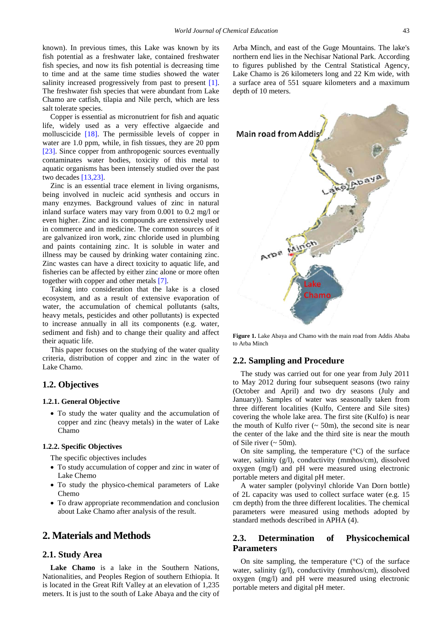known). In previous times, this Lake was known by its fish potential as a freshwater lake, contained freshwater fish species, and now its fish potential is decreasing time to time and at the same time studies showed the water salinity increased progressively from past to present [\[1\].](#page-4-1) The freshwater fish species that were abundant from Lake Chamo are catfish, tilapia and Nile perch, which are less salt tolerate species.

Copper is essential as micronutrient for fish and aquatic life, widely used as a very effective algaecide and molluscicide [\[18\].](#page-5-1) The permissible levels of copper in water are 1.0 ppm, while, in fish tissues, they are 20 ppm [\[23\].](#page-5-2) Since copper from anthropogenic sources eventually contaminates water bodies, toxicity of this metal to aquatic organisms has been intensely studied over the past two decades [\[13,23\].](#page-4-2)

Zinc is an essential trace element in living organisms, being involved in nucleic acid synthesis and occurs in many enzymes. Background values of zinc in natural inland surface waters may vary from 0.001 to 0.2 mg/l or even higher. Zinc and its compounds are extensively used in commerce and in medicine. The common sources of it are galvanized iron work, zinc chloride used in plumbing and paints containing zinc. It is soluble in water and illness may be caused by drinking water containing zinc. Zinc wastes can have a direct toxicity to aquatic life, and fisheries can be affected by either zinc alone or more often together with copper and other metals [\[7\].](#page-4-3)

Taking into consideration that the lake is a closed ecosystem, and as a result of extensive evaporation of water, the accumulation of chemical pollutants (salts, heavy metals, pesticides and other pollutants) is expected to increase annually in all its components (e.g. water, sediment and fish) and to change their quality and affect their aquatic life.

This paper focuses on the studying of the water quality criteria, distribution of copper and zinc in the water of Lake Chamo.

## **1.2. Objectives**

#### **1.2.1. General Objective**

• To study the water quality and the accumulation of copper and zinc (heavy metals) in the water of Lake Chamo

## **1.2.2. Specific Objectives**

- The specific objectives includes
- To study accumulation of copper and zinc in water of Lake Chemo
- To study the physico-chemical parameters of Lake Chemo
- To draw appropriate recommendation and conclusion about Lake Chamo after analysis of the result.

## **2. Materials and Methods**

### **2.1. Study Area**

**Lake Chamo** is a lake in the Southern Nations, Nationalities, and Peoples Region of southern Ethiopia. It is located in the Great Rift Valley at an elevation of 1,235 meters. It is just to the south of Lake Abaya and the city of

Arba Minch, and east of the Guge Mountains. The lake's northern end lies in the Nechisar National Park. According to figures published by the Central Statistical Agency, Lake Chamo is 26 kilometers long and 22 Km wide, with a surface area of 551 square kilometers and a maximum depth of 10 meters.



**Figure 1.** Lake Abaya and Chamo with the main road from Addis Ababa to Arba Minch

### **2.2. Sampling and Procedure**

The study was carried out for one year from July 2011 to May 2012 during four subsequent seasons (two rainy (October and April) and two dry seasons (July and January)). Samples of water was seasonally taken from three different localities (Kulfo, Centere and Sile sites) covering the whole lake area. The first site (Kulfo) is near the mouth of Kulfo river  $($   $\sim$  50m), the second site is near the center of the lake and the third site is near the mouth of Sile river  $($   $\sim$  50m).

On site sampling, the temperature  $({}^{\circ}C)$  of the surface water, salinity (g/l), conductivity (mmhos/cm), dissolved oxygen (mg/l) and pH were measured using electronic portable meters and digital pH meter.

A water sampler (polyvinyl chloride Van Dorn bottle) of 2L capacity was used to collect surface water (e.g. 15 cm depth) from the three different localities. The chemical parameters were measured using methods adopted by standard methods described in APHA (4).

## **2.3. Determination of Physicochemical Parameters**

On site sampling, the temperature  $(^{\circ}C)$  of the surface water, salinity (g/l), conductivity (mmhos/cm), dissolved oxygen (mg/l) and pH were measured using electronic portable meters and digital pH meter.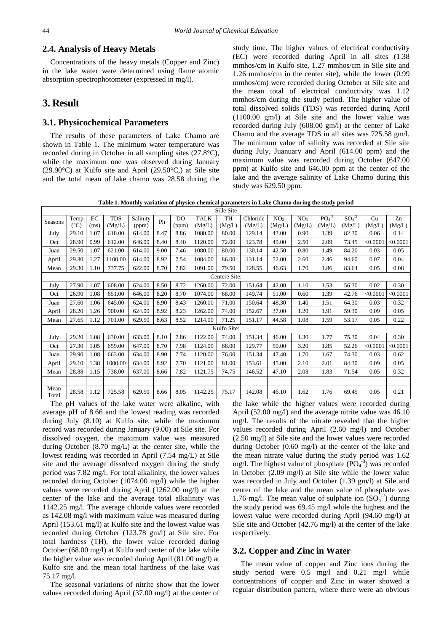## **2.4. Analysis of Heavy Metals**

Concentrations of the heavy metals (Copper and Zinc) in the lake water were determined using flame atomic absorption spectrophotometer (expressed in mg/l).

## **3. Result**

## **3.1. Physicochemical Parameters**

The results of these parameters of Lake Chamo are shown in Table 1. The minimum water temperature was recorded during in October in all sampling sites (27.8°C), while the maximum one was observed during January (29.90°C) at Kulfo site and April (29.50°C,) at Sile site and the total mean of lake chamo was 28.58 during the study time. The higher values of electrical conductivity (EC) were recorded during April in all sites (1.38 mmhos/cm in Kulfo site, 1.27 mmhos/cm in Sile site and 1.26 mmhos/cm in the center site), while the lower (0.99 mmhos/cm) were recorded during October at Sile site and the mean total of electrical conductivity was 1.12 mmhos/cm during the study period. The higher value of total dissolved solids (TDS) was recorded during April (1100.00 gm/l) at Sile site and the lower value was recorded during July (608.00 gm/l) at the center of Lake Chamo and the average TDS in all sites was 725.58 gm/l. The minimum value of salinity was recorded at Sile site during July, Juanuary and April (614.00 ppm) and the maximum value was recorded during October (647.00 ppm) at Kulfo site and 646.00 ppm at the center of the lake and the average salinity of Lake Chamo during this study was 629.50 ppm.

**Table 1. Monthly variation of physico-chemical parameters in Lake Chamo during the study period**

| Sille Site    |               |          |            |          |      |       |             |        |          |                 |                 |         |         |          |             |
|---------------|---------------|----------|------------|----------|------|-------|-------------|--------|----------|-----------------|-----------------|---------|---------|----------|-------------|
| Seasons       | Temp          | $\rm EC$ | <b>TDS</b> | Salinity | Ph   | DO    | <b>TALK</b> | TH     | Chloride | NO <sub>2</sub> | NO <sub>3</sub> | $PO4-3$ | $SO4-2$ | Cu       | Zn          |
|               | $(^{\circ}C)$ | (ms)     | (Mg/L)     | (ppm)    |      | (ppm) | (Mg/L)      | (Mg/L) | (Mg/L)   | (Mg/L)          | (Mg/L)          | (Mg/L)  | (Mg/L)  | (Mg/L)   | (Mg/L)      |
| July          | 29.10         | 1.07     | 618.00     | 614.00   | 8.47 | 8.86  | 1080.00     | 80.00  | 129.14   | 43.00           | 0.90            | 1.39    | 82.30   | 0.06     | 0.14        |
| Oct           | 28.90         | 0.99     | 612.00     | 646.00   | 8.40 | 8.40  | 1120.00     | 72.00  | 123.78   | 49.00           | 2.50            | 2.09    | 73.45   | < 0.0001 | < 0.0001    |
| Juan          | 29.50         | 1.07     | 621.00     | 614.00   | 9.00 | 7.46  | 1080.00     | 80.00  | 130.14   | 42.50           | 0.80            | 1.49    | 84.20   | 0.03     | 0.05        |
| April         | 29.30         | 1.27     | 1100.00    | 614.00   | 8.92 | 7.54  | 1084.00     | 86.00  | 131.14   | 52.00           | 2.60            | 2.46    | 94.60   | 0.07     | 0.04        |
| Mean          | 29.30         | 1.10     | 737.75     | 622.00   | 8.70 | 7.82  | 1091.00     | 79.50  | 128.55   | 46.63           | 1.70            | 1.86    | 83.64   | 0.05     | 0.08        |
| Centere Site: |               |          |            |          |      |       |             |        |          |                 |                 |         |         |          |             |
| July          | 27.90         | 1.07     | 608.00     | 624.00   | 8.50 | 8.72  | 1260.00     | 72.00  | 151.64   | 42.00           | 1.10            | 1.53    | 56.30   | 0.02     | 0.30        |
| Oct           | 26.90         | 1.08     | 651.00     | 646.00   | 8.20 | 8.70  | 1074.00     | 68.00  | 149.74   | 51.00           | 0.60            | 1.39    | 42.76   | < 0.0001 | < 0.0001    |
| Juan          | 27.60         | 1.06     | 645.00     | 624.00   | 8.90 | 8.43  | 1260.00     | 71.00  | 150.64   | 48.30           | 1.40            | 1.51    | 64.30   | 0.03     | 0.32        |
| April         | 28.20         | 1.26     | 900.00     | 624.00   | 8.92 | 8.23  | 1262.00     | 74.00  | 152.67   | 37.00           | 1.20            | 1.91    | 59.30   | 0.09     | 0.05        |
| Mean          | 27.65         | 1.12     | 701.00     | 629.50   | 8.63 | 8.52  | 1214.00     | 71.25  | 151.17   | 44.58           | 1.08            | 1.59    | 53.17   | 0.05     | 0.22        |
| Kulfo Site:   |               |          |            |          |      |       |             |        |          |                 |                 |         |         |          |             |
| July          | 29.20         | 1.08     | 630.00     | 633.00   | 8.10 | 7.86  | 1122.00     | 74.00  | 151.34   | 46.00           | 1.30            | 1.77    | 75.30   | 0.04     | 0.30        |
| Oct           | 27.30         | 1.05     | 659.00     | 647.00   | 8.70 | 7.98  | 1124.00     | 68.00  | 129.77   | 50.00           | 3.20            | 1.85    | 52.26   | < 0.0001 | ${<}0.0001$ |
| Juan          | 29.90         | 1.08     | 663.00     | 634.00   | 8.90 | 7.74  | 1120.00     | 76.00  | 151.34   | 47.40           | 1.70            | 1.67    | 74.30   | 0.03     | 0.62        |
| April         | 29.10         | 1.38     | 1000.00    | 634.00   | 8.92 | 7.70  | 1121.00     | 81.00  | 153.61   | 45.00           | 2.10            | 2.01    | 84.30   | 0.09     | 0.05        |
| Mean          | 28.88         | 1.15     | 738.00     | 637.00   | 8.66 | 7.82  | 1121.75     | 74.75  | 146.52   | 47.10           | 2.08            | 1.83    | 71.54   | 0.05     | 0.32        |
|               |               |          |            |          |      |       |             |        |          |                 |                 |         |         |          |             |
| Mean<br>Total | 28.58         | 1.12     | 725.58     | 629.50   | 8.66 | 8.05  | 1142.25     | 75.17  | 142.08   | 46.10           | 1.62            | 1.76    | 69.45   | 0.05     | 0.21        |

The pH values of the lake water were alkaline, with average pH of 8.66 and the lowest reading was recorded during July (8.10) at Kulfo site, while the maximum record was recorded during January (9.00) at Sile site. For dissolved oxygen, the maximum value was measured during October (8.70 mg/L) at the center site, while the lowest reading was recorded in April (7.54 mg/L) at Sile site and the average dissolved oxygen during the study period was 7.82 mg/l. For total alkalinity, the lower values recorded during October (1074.00 mg/l) while the higher values were recorded during April (1262.00 mg/l) at the center of the lake and the average total alkalinity was 1142.25 mg/l. The average chloride values were recorded as 142.08 mg/l with maximum value was measured during April (153.61 mg/l) at Kulfo site and the lowest value was recorded during October (123.78 gm/l) at Sile site. For total hardness (TH), the lower value recorded during October (68.00 mg/l) at Kulfo and center of the lake while the higher value was recorded during April (81.00 mg/l) at Kulfo site and the mean total hardness of the lake was 75.17 mg/l.

The seasonal variations of nitrite show that the lower values recorded during April (37.00 mg/l) at the center of the lake while the higher values were recorded during April (52.00 mg/l) and the average nitrite value was 46.10 mg/l. The results of the nitrate revealed that the higher values recorded during April (2.60 mg/l) and October (2.50 mg/l) at Sile site and the lower values were recorded during October (0.60 mg/l) at the center of the lake and the mean nitrate value during the study period was 1.62 mg/l. The highest value of phosphate  $(PO<sub>4</sub><sup>-3</sup>)$  was recorded in October (2.09 mg/l) at Sile site while the lower value was recorded in July and October (1.39 gm/l) at Sile and center of the lake and the mean value of phosphate was 1.76 mg/l. The mean value of sulphate ion  $(SO<sub>4</sub><sup>-2</sup>)$  during the study period was 69.45 mg/l while the highest and the lowest value were recorded during April (94.60 mg/l) at Sile site and October (42.76 mg/l) at the center of the lake respectively.

#### **3.2. Copper and Zinc in Water**

The mean value of copper and Zinc ions during the study period were 0.5 mg/l and 0.21 mg/l while concentrations of copper and Zinc in water showed a regular distribution pattern, where there were an obvious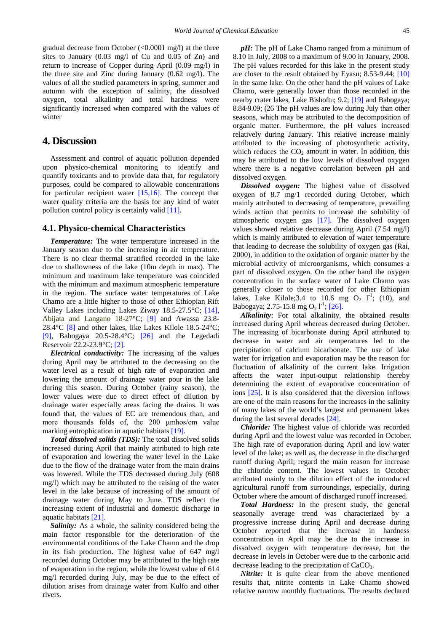gradual decrease from October (<0.0001 mg/l) at the three sites to January (0.03 mg/l of Cu and 0.05 of Zn) and return to increase of Copper during April (0.09 mg/l) in the three site and Zinc during January (0.62 mg/l). The values of all the studied parameters in spring, summer and autumn with the exception of salinity, the dissolved oxygen, total alkalinity and total hardness were significantly increased when compared with the values of winter

## **4. Discussion**

Assessment and control of aquatic pollution depended upon physico-chemical monitoring to identify and quantify toxicants and to provide data that, for regulatory purposes, could be compared to allowable concentrations for particular recipient water [\[15,16\].](#page-5-3) The concept that water quality criteria are the basis for any kind of water pollution control policy is certainly valid [\[11\].](#page-4-4)

#### **4.1. Physico-chemical Characteristics**

*Temperature:* The water temperature increased in the January season due to the increasing in air temperature. There is no clear thermal stratified recorded in the lake due to shallowness of the lake (10m depth in max). The minimum and maximum lake temperature was coincided with the minimum and maximum atmospheric temperature in the region. The surface water temperatures of Lake Chamo are a little higher to those of other Ethiopian Rift Valley Lakes including Lakes Ziway 18.5-27.5°C; [\[14\],](#page-4-5) Abijata and Langano 18-27°C; [\[9\]](#page-4-6) and Awassa 23.8- 28.4 $\degree$ C [\[8\]](#page-4-7) and other lakes, like Lakes Kilole 18.5-24 $\degree$ C; [\[9\],](#page-4-6) Babogaya  $20.5{\text -}28.4^{\circ}\text{C}$ ; [\[26\]](#page-5-4) and the Legedadi Reservoir 22.2-23.9°C; [\[2\].](#page-4-8)

*Electrical conductivity:* The increasing of the values during April may be attributed to the decreasing on the water level as a result of high rate of evaporation and lowering the amount of drainage water pour in the lake during this season. During October (rainy season), the lower values were due to direct effect of dilution by drainage water especially areas facing the drains. It was found that, the values of EC are tremendous than, and more thousands folds of, the 200 μmhos/cm value marking eutrophication in aquatic habitats [\[19\].](#page-5-5)

*Total dissolved solids (TDS):* The total dissolved solids increased during April that mainly attributed to high rate of evaporation and lowering the water level in the Lake due to the flow of the drainage water from the main drains was lowered. While the TDS decreased during July (608 mg/l) which may be attributed to the raising of the water level in the lake because of increasing of the amount of drainage water during May to June. TDS reflect the increasing extent of industrial and domestic discharge in aquatic habitat[s \[21\].](#page-5-6)

*Salinity:* As a whole, the salinity considered being the main factor responsible for the deterioration of the environmental conditions of the Lake Chamo and the drop in its fish production. The highest value of 647 mg/l recorded during October may be attributed to the high rate of evaporation in the region, while the lowest value of 614 mg/l recorded during July, may be due to the effect of dilution arises from drainage water from Kulfo and other rivers.

*pH*: The pH of Lake Chamo ranged from a minimum of 8.10 in July, 2008 to a maximum of 9.00 in January, 2008. The pH values recorded for this lake in the present study are closer to the result obtained by Eyasu; 8.53-9.44; [\[10\]](#page-4-9) in the same lake. On the other hand the pH values of Lake Chamo, were generally lower than those recorded in the nearby crater lakes, Lake Bishoftu; 9.2; [\[19\]](#page-5-5) and Babogaya; 8.84-9.09; (26 The pH values are low during July than other seasons, which may be attributed to the decomposition of organic matter. Furthermore, the pH values increased relatively during January. This relative increase mainly attributed to the increasing of photosynthetic activity, which reduces the  $CO<sub>2</sub>$  amount in water. In addition, this may be attributed to the low levels of dissolved oxygen where there is a negative correlation between pH and dissolved oxygen.

*Dissolved oxygen:* The highest value of dissolved oxygen of 8.7 mg/1 recorded during October, which mainly attributed to decreasing of temperature, prevailing winds action that permits to increase the solubility of atmospheric oxygen gas [\[17\].](#page-5-7) The dissolved oxygen values showed relative decrease during April (7.54 mg/l) which is mainly attributed to elevation of water temperature that leading to decrease the solubility of oxygen gas (Rai, 2000), in addition to the oxidation of organic matter by the microbial activity of microorganisms, which consumes a part of dissolved oxygen. On the other hand the oxygen concentration in the surface water of Lake Chamo was generally closer to those recorded for other Ethiopian lakes, Lake Kilole; 3.4 to 10.6 mg  $O_2$   $1^{-1}$ ; (10), and Babogaya; 2.75-15.8 mg O<sub>2</sub> l<sup>-1</sup>; [\[26\].](#page-5-4)

*Alkalinity*: For total alkalinity, the obtained results increased during April whereas decreased during October. The increasing of bicarbonate during April attributed to decrease in water and air temperatures led to the precipitation of calcium bicarbonate. The use of lake water for irrigation and evaporation may be the reason for fluctuation of alkalinity of the current lake. Irrigation affects the water input-output relationship thereby determining the extent of evaporative concentration of ions [\[25\].](#page-5-8) It is also considered that the diversion inflows are one of the main reasons for the increases in the salinity of many lakes of the world's largest and permanent lakes during the last several decades [\[24\].](#page-5-9)

*Chloride:* The highest value of chloride was recorded during April and the lowest value was recorded in October. The high rate of evaporation during April and low water level of the lake; as well as, the decrease in the discharged runoff during April; regard the main reason for increase the chloride content. The lowest values in October attributed mainly to the dilution effect of the introduced agricultural runoff from surroundings, especially, during October where the amount of discharged runoff increased.

*Total Hardness:* In the present study, the general seasonally average trend was characterized by a progressive increase during April and decrease during October reported that the increase in hardness concentration in April may be due to the increase in dissolved oxygen with temperature decrease, but the decrease in levels in October were due to the carbonic acid decrease leading to the precipitation of CaCO3.

*Nitrite:* It is quite clear from the above mentioned results that, nitrite contents in Lake Chamo showed relative narrow monthly fluctuations. The results declared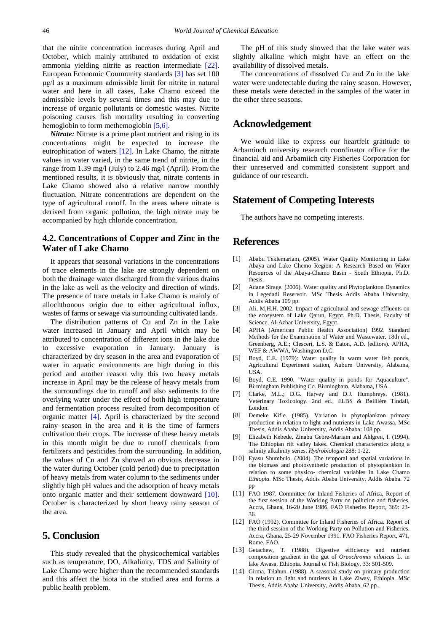that the nitrite concentration increases during April and October, which mainly attributed to oxidation of exist ammonia yielding nitrite as reaction intermediate [\[22\].](#page-5-10) European Economic Community standards [\[3\]](#page-4-10) has set 100 μg/l as a maximum admissible limit for nitrite in natural water and here in all cases, Lake Chamo exceed the admissible levels by several times and this may due to increase of organic pollutants or domestic wastes. Nitrite poisoning causes fish mortality resulting in converting hemoglobin to form methemoglobin [\[5,6\].](#page-4-11)

*Nitrate:* Nitrate is a prime plant nutrient and rising in its concentrations might be expected to increase the eutrophication of waters [\[12\].](#page-4-0) In Lake Chamo, the nitrate values in water varied, in the same trend of nitrite, in the range from 1.39 mg/l (July) to 2.46 mg/l (April). From the mentioned results, it is obviously that, nitrate contents in Lake Chamo showed also a relative narrow monthly fluctuation. Nitrate concentrations are dependent on the type of agricultural runoff. In the areas where nitrate is derived from organic pollution, the high nitrate may be accompanied by high chloride concentration.

## **4.2. Concentrations of Copper and Zinc in the Water of Lake Chamo**

It appears that seasonal variations in the concentrations of trace elements in the lake are strongly dependent on both the drainage water discharged from the various drains in the lake as well as the velocity and direction of winds. The presence of trace metals in Lake Chamo is mainly of allochthonous origin due to either agricultural influx, wastes of farms or sewage via surrounding cultivated lands.

The distribution patterns of Cu and Zn in the Lake water increased in January and April which may be attributed to concentration of different ions in the lake due to excessive evaporation in January. January is characterized by dry season in the area and evaporation of water in aquatic environments are high during in this period and another reason why this two heavy metals increase in April may be the release of heavy metals from the surroundings due to runoff and also sediments to the overlying water under the effect of both high temperature and fermentation process resulted from decomposition of organic matter [\[4\].](#page-4-12) April is characterized by the second rainy season in the area and it is the time of farmers cultivation their crops. The increase of these heavy metals in this month might be due to runoff chemicals from fertilizers and pesticides from the surrounding. In addition, the values of Cu and Zn showed an obvious decrease in the water during October (cold period) due to precipitation of heavy metals from water column to the sediments under slightly high pH values and the adsorption of heavy metals onto organic matter and their settlement downward [\[10\].](#page-4-9) October is characterized by short heavy rainy season of the area.

# **5. Conclusion**

This study revealed that the physicochemical variables such as temperature, DO, Alkalinity, TDS and Salinity of Lake Chamo were higher than the recommended standards and this affect the biota in the studied area and forms a public health problem.

The pH of this study showed that the lake water was slightly alkaline which might have an effect on the availability of dissolved metals.

The concentrations of dissolved Cu and Zn in the lake water were undetectable during the rainy season. However, these metals were detected in the samples of the water in the other three seasons.

## **Acknowledgement**

We would like to express our heartfelt gratitude to Arbaminch university research coordinator office for the financial aid and Arbamiich city Fisheries Corporation for their unreserved and committed consistent support and guidance of our research.

## **Statement of Competing Interests**

The authors have no competing interests.

# **References**

- <span id="page-4-1"></span>[1] Ababu Teklemariam, (2005). Water Quality Monitoring in Lake Abaya and Lake Chemo Region: A Research Based on Water Resources of the Abaya-Chamo Basin - South Ethiopia, Ph.D. thesis.
- <span id="page-4-8"></span>[2] Adane Sirage. (2006). Water quality and Phytoplankton Dynamics in Legedadi Reservoir. MSc Thesis Addis Ababa University*,*  Addis Ababa 109 pp.
- <span id="page-4-10"></span>[3] Ali, M.H.H. 2002. Impact of agricultural and sewage effluents on the ecosystem of Lake Qarun, Egypt. Ph.D. Thesis, Faculty of Science, Al-Azhar University, Egypt.
- <span id="page-4-12"></span>[4] APHA (American Public Health Association) 1992. Standard Methods for the Examination of Water and Wastewater. 18th ed., Greenberg, A.E.; Clesceri, L.S. & Eaton, A.D. (editors). APHA, WEF & AWWA, Washington D.C.
- <span id="page-4-11"></span>[5] Boyd, C.E. (1979): Water quality in warm water fish ponds, Agricultural Experiment station, Auburn University, Alabama, USA.
- [6] Boyd, C.E. 1990. "Water quality in ponds for Aquaculture". Birmingham Publishing Co. Birmingham, Alabama, USA.
- <span id="page-4-3"></span>[7] Clarke, M.L.; D.G. Harvey and D.J. Humphreys, (1981). Veterinary Toxicology. 2nd ed., ELBS & Bailliére Tindall, London.
- <span id="page-4-7"></span>[8] Demeke Kifle. (1985). Variation in phytoplankton primary production in relation to light and nutrients in Lake Awassa. MSc Thesis, Addis Ababa University, Addis Ababa: 108 pp.
- <span id="page-4-6"></span>[9] Elizabeth Kebede, Zinabu Gebre-Mariam and Ahlgren, I. (1994). The Ethiopian rift valley lakes. Chemical characterstics along a salinity alkalinity series. *Hydrobiologia* 288: 1-22.
- <span id="page-4-9"></span>[10] Eyasu Shumbulo. (2004). The temporal and spatial variations in the biomass and photosynthetic production of phytoplankton in relation to some physico- chemical variables in Lake Chamo *Ethiopia.* MSc Thesis, Addis Ababa University, Addis Ababa. 72 pp
- <span id="page-4-4"></span>[11] FAO 1987. Committee for Inland Fisheries of Africa, Report of the first session of the Working Party on pollution and fisheries, Accra, Ghana, 16-20 June 1986. FAO Fisheries Report, 369: 23- 36.
- <span id="page-4-0"></span>[12] FAO (1992). Committee for Inland Fisheries of Africa. Report of the third session of the Working Party on Pollution and Fisheries. Accra, Ghana, 25-29 November 1991. FAO Fisheries Report, 471, Rome, FAO.
- <span id="page-4-2"></span>[13] Getachew, T. (1988). Digestive efficiency and nutrient composition gradient in the gut of *Oreochromis niloticus* L. in lake Awasa, Ethiopia. Journal of Fish Biology, 33: 501-509.
- <span id="page-4-5"></span>[14] Girma, Tilahun. (1988). A seasonal study on primary production in relation to light and nutrients in Lake Ziway, Ethiopia. MSc Thesis, Addis Ababa University*,* Addis Ababa, 62 pp.